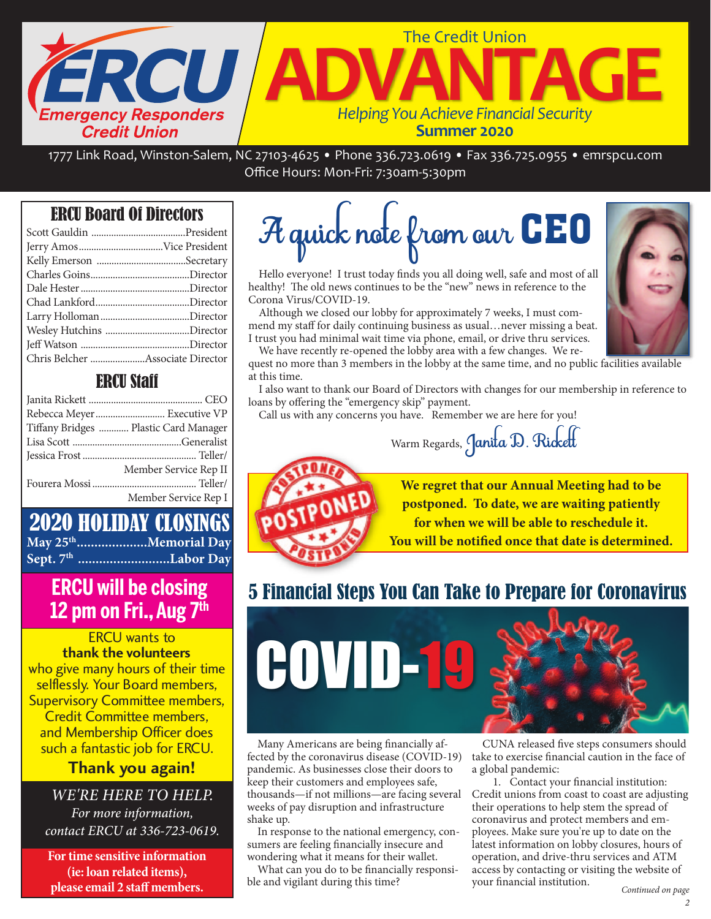

1777 Link Road, Winston‐Salem, NC 27103‐4625 • Phone 336.723.0619 • Fax 336.725.0955 • emrspcu.com Office Hours: Mon‐Fri: 7:30am‐5:30pm

# ERCU Board Of Directors

## ERCU Staff

| Rebecca Meyer Executive VP            |
|---------------------------------------|
| Tiffany Bridges  Plastic Card Manager |
|                                       |
|                                       |
| Member Service Rep II                 |
|                                       |
| Member Service Rep I                  |

## 2020 HOLIDAY CLOSINGS **May 25th....................Memorial Day Sept. 7th ..........................Labor Day**

# 12 pm on Fri.. Aug 7<sup>th</sup> **12 pm on Fri., Aug 7th**

ERCU wants to **thank the volunteers** who give many hours of their time selflessly. Your Board members, Supervisory Committee members, Credit Committee members, and Membership Officer does such a fantastic job for ERCU.

# **Thank you again!**

## WE'RE HERE TO HELP.

For more information, contact ERCU at 336-723-0619.

**For time sensitive information (ie: loan related items), please email 2 staff members.**

# A quick note from our CEO

Hello everyone! I trust today finds you all doing well, safe and most of all healthy! The old news continues to be the "new" news in reference to the Corona Virus/COVID-19.

Although we closed our lobby for approximately 7 weeks, I must commend my staff for daily continuing business as usual…never missing a beat. I trust you had minimal wait time via phone, email, or drive thru services.

We have recently re-opened the lobby area with a few changes. We request no more than 3 members in the lobby at the same time, and no public facilities available at this time.

I also want to thank our Board of Directors with changes for our membership in reference to loans by offering the "emergency skip" payment.

Call us with any concerns you have. Remember we are here for you!

Warm Regards, Janita D. Rickett



**We regret that our Annual Meeting had to be postponed. To date, we are waiting patiently for when we will be able to reschedule it. You will be notified once that date is determined.** 

> CUNA released five steps consumers should take to exercise financial caution in the face of

 1. Contact your financial institution: Credit unions from coast to coast are adjusting their operations to help stem the spread of coronavirus and protect members and employees. Make sure you're up to date on the latest information on lobby closures, hours of operation, and drive-thru services and ATM access by contacting or visiting the website of

# 5 Financial Steps You Can Take to Prepare for Coronavirus



a global pandemic:

your financial institution.

Many Americans are being financially affected by the coronavirus disease (COVID-19) pandemic. As businesses close their doors to keep their customers and employees safe, thousands—if not millions—are facing several weeks of pay disruption and infrastructure shake up.

In response to the national emergency, consumers are feeling financially insecure and wondering what it means for their wallet.

What can you do to be financially responsible and vigilant during this time?

Continued on page